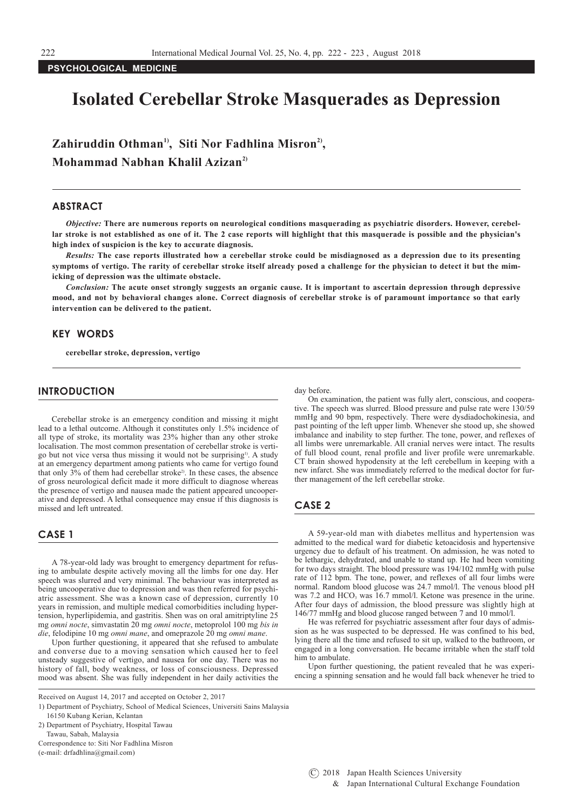## **PSYCHOLOGICAL MEDICINE**

# **Isolated Cerebellar Stroke Masquerades as Depression**

Zahiruddin Othman<sup>1)</sup>, Siti Nor Fadhlina Misron<sup>2</sup>), **Mohammad Nabhan Khalil Azizan2)**

## **ABSTRACT**

*Objective:* **There are numerous reports on neurological conditions masquerading as psychiatric disorders. However, cerebellar stroke is not established as one of it. The 2 case reports will highlight that this masquerade is possible and the physician's high index of suspicion is the key to accurate diagnosis.**

*Results:* **The case reports illustrated how a cerebellar stroke could be misdiagnosed as a depression due to its presenting symptoms of vertigo. The rarity of cerebellar stroke itself already posed a challenge for the physician to detect it but the mimicking of depression was the ultimate obstacle.**

*Conclusion:* **The acute onset strongly suggests an organic cause. It is important to ascertain depression through depressive mood, and not by behavioral changes alone. Correct diagnosis of cerebellar stroke is of paramount importance so that early intervention can be delivered to the patient.**

## **KEY WORDS**

**cerebellar stroke, depression, vertigo**

#### **INTRODUCTION**

Cerebellar stroke is an emergency condition and missing it might lead to a lethal outcome. Although it constitutes only 1.5% incidence of all type of stroke, its mortality was 23% higher than any other stroke localisation. The most common presentation of cerebellar stroke is vertigo but not vice versa thus missing it would not be surprising<sup>1</sup>. A study at an emergency department among patients who came for vertigo found that only  $3\%$  of them had cerebellar stroke<sup>2</sup>. In these cases, the absence of gross neurological deficit made it more difficult to diagnose whereas the presence of vertigo and nausea made the patient appeared uncooperative and depressed. A lethal consequence may ensue if this diagnosis is missed and left untreated.

## **CASE 1**

A 78-year-old lady was brought to emergency department for refusing to ambulate despite actively moving all the limbs for one day. Her speech was slurred and very minimal. The behaviour was interpreted as being uncooperative due to depression and was then referred for psychiatric assessment. She was a known case of depression, currently 10 years in remission, and multiple medical comorbidities including hypertension, hyperlipidemia, and gastritis. Shen was on oral amitriptyline 25 mg *omni nocte*, simvastatin 20 mg *omni nocte*, metoprolol 100 mg *bis in die*, felodipine 10 mg *omni mane*, and omeprazole 20 mg *omni mane*.

Upon further questioning, it appeared that she refused to ambulate and converse due to a moving sensation which caused her to feel unsteady suggestive of vertigo, and nausea for one day. There was no history of fall, body weakness, or loss of consciousness. Depressed mood was absent. She was fully independent in her daily activities the

Received on August 14, 2017 and accepted on October 2, 2017

16150 Kubang Kerian, Kelantan

2) Department of Psychiatry, Hospital Tawau

Tawau, Sabah, Malaysia Correspondence to: Siti Nor Fadhlina Misron

(e-mail: drfadhlina@gmail.com)

day before.

On examination, the patient was fully alert, conscious, and cooperative. The speech was slurred. Blood pressure and pulse rate were 130/59 mmHg and 90 bpm, respectively. There were dysdiadochokinesia, and past pointing of the left upper limb. Whenever she stood up, she showed imbalance and inability to step further. The tone, power, and reflexes of all limbs were unremarkable. All cranial nerves were intact. The results of full blood count, renal profile and liver profile were unremarkable. CT brain showed hypodensity at the left cerebellum in keeping with a new infarct. She was immediately referred to the medical doctor for further management of the left cerebellar stroke.

# **CASE 2**

A 59-year-old man with diabetes mellitus and hypertension was admitted to the medical ward for diabetic ketoacidosis and hypertensive urgency due to default of his treatment. On admission, he was noted to be lethargic, dehydrated, and unable to stand up. He had been vomiting for two days straight. The blood pressure was 194/102 mmHg with pulse rate of 112 bpm. The tone, power, and reflexes of all four limbs were normal. Random blood glucose was 24.7 mmol/l. The venous blood pH was 7.2 and HCO<sub>3</sub> was 16.7 mmol/l. Ketone was presence in the urine. After four days of admission, the blood pressure was slightly high at 146/77 mmHg and blood glucose ranged between 7 and 10 mmol/l.

He was referred for psychiatric assessment after four days of admission as he was suspected to be depressed. He was confined to his bed, lying there all the time and refused to sit up, walked to the bathroom, or engaged in a long conversation. He became irritable when the staff told him to ambulate.

Upon further questioning, the patient revealed that he was experiencing a spinning sensation and he would fall back whenever he tried to

<sup>1)</sup> Department of Psychiatry, School of Medical Sciences, Universiti Sains Malaysia